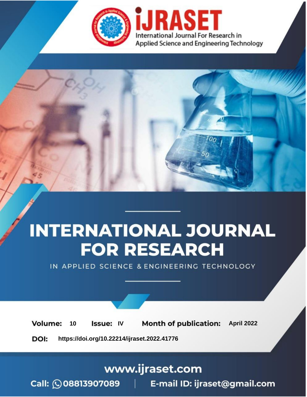

# **INTERNATIONAL JOURNAL FOR RESEARCH**

IN APPLIED SCIENCE & ENGINEERING TECHNOLOGY

10 **Issue: IV Month of publication:** April 2022 **Volume:** 

**https://doi.org/10.22214/ijraset.2022.41776**DOI:

www.ijraset.com

Call: 008813907089 | E-mail ID: ijraset@gmail.com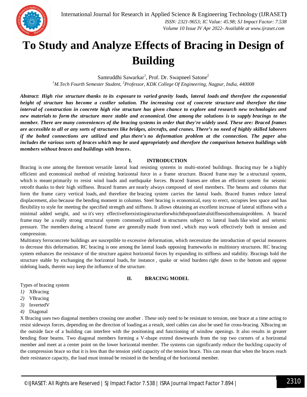

### **To Study and Analyze Effects of Bracing in Design of Building**

Samruddhi Sawarkar<sup>1</sup>, Prof. Dr. Swapneel Satone<sup>2</sup> *<sup>1</sup>M.Tech Fourth Semester Student, <sup>2</sup>Professor, KDK College Of Engineering, Nagpur, India, 440008*

*Abstract: High rise structure thanks to its exposure to varied gravity loads, lateral loads and therefore the exponential height of structure has become a costlier solution. The increasing cost of concrete structure and therefore the time interval of construction in concrete high rise structure has given chance to explore and research new technologies and new materials to form the structure more stable and economical. One among the solutions is to supply bracings to the member. There are many conveniences of the bracing systems in order that they're widely used. These are: Braced frames are accessible to all or any sorts of structures like bridges, aircrafts, and cranes. There's no need of highly skilled laborers if the bolted connections are utilized and plus there's no deformation problem at the connection. The paper also includes the various sorts of braces which may be used appropriately and therefore the comparison between buildings with members without braces and buildings with braces***.**

#### **I. INTRODUCTION**

Bracing is one among the foremost versatile lateral load resisting systems in multi-storied buildings. Bracing may be a highly efficient and economical method of resisting horizontal force in a frame structure. Braced frame may be a structural system, which is meant primarily to resist wind loads and earthquake forces. Braced frames are often an efficient system for seismic retrofit thanks to their high stiffness. Braced frames are nearly always composed of steel members. The beams and columns that form the frame carry vertical loads, and therefore the bracing system carries the lateral loads. Braced frames reduce lateral displacement, also because the bending moment in columns. Steel bracing is economical, easy to erect, occupies less space and has flexibility to style for meeting the specified strength and stiffness. It allows obtaining an excellent increase of lateral stiffness with a minimal added weight, and so it's very effectiveforexistingstructureforwhichthepoorlateralstiffnessisthemainproblem. A braced frame may be a really strong structural system commonly utilized in structures subject to lateral loads like wind and seismic pressure. The members during a braced frame are generally made from steel , which may work effectively both in tension and compression.

Multistory ferroconcrete buildings are susceptible to excessive deformation, which necessitate the introduction of special measures to decrease this deformation. RC bracing is one among the lateral loads opposing frameworks in multistory structures. RC bracing system enhances the resistance of the structure against horizontal forces by expanding its stiffness and stability. Bracings hold the structure stable by exchanging the horizontal loads, for instance , quake or wind burdens right down to the bottom and oppose sidelong loads, therein way keep the influence of the structure.

#### **II. BRACING MODEL**

Types of bracing system

- *1)* XBracing
- *2)* VBracing
- *3)* InvertedV
- *4)* Diagonal

X Bracing uses two diagonal members crossing one another . These only need to be resistant to tension, one brace at a time acting to resist sideways forces, depending on the direction of loading.as a result, steel cables can also be used for cross-bracing. XBracing on the outside face of a building can interfere with the positioning and functioning of window openings. It also results in greater bending floor beams. Two diagonal members forming a V-shape extend downwards from the top two corners of a horizontal member and meet at a center point on the lower horizontal member. The systems can significantly reduce the buckling capacity of the compression brace so that it is less than the tension yield capacity of the tension brace. This can mean that when the braces reach their resistance capacity, the load must instead be resisted in the bending of the horizontal member.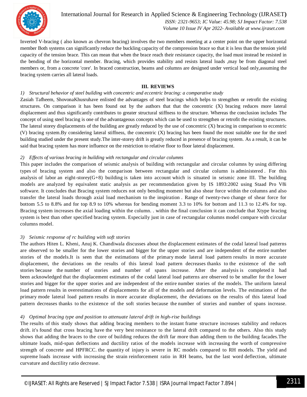

International Journal for Research in Applied Science & Engineering Technology (IJRASET**)**  *ISSN: 2321-9653; IC Value: 45.98; SJ Impact Factor: 7.538 Volume 10 Issue IV Apr 2022- Available at www.ijraset.com*

Inverted V-bracing ( also known as chevron bracing) involves the two members meeting at a center point on the upper horizontal member Both systems can significantly reduce the buckling capacity of the compression brace so that it is less than the tension yield capacity of the tension brace. This can mean that when the brace reach their resistance capacity, the load must instead be resisted in the bending of the horizontal member. Bracing, which provides stability and resists lateral loads ,may be from diagonal steel members or, from a concrete 'core'. In braced construction, beams and columns are designed under vertical load only,assuming the bracing system carries all lateral loads.

#### **III. REVIEWS**

#### *1) Structural behavior of steel building with concentric and eccentric bracing: a comparative study*

Zasiah Tafheem, ShovonaKhusruhave enlisted the advantages of steel bracings which helps to strengthen or retrofit the existing structures. On comparison it has been found out by the authors that that the concentric (X) bracing reduces more lateral displacement and thus significantly contributes to greater structural stiffness to the structure. Whereas the conclusion includes The concept of using steel bracing is one of the advantageous concepts which can be used to strengthen or retrofit the existing structures. The lateral storey displacements of the building are greatly reduced by the use of concentric (X) bracing in comparison to eccentric (V) bracing system.By considering lateral stiffness, the concentric (X) bracing has been found the most suitable one for the steel building studied under the present study.The inter-storey drift is greatly reduced in presence of bracing system. As a result, it can be said that bracing system has more influence on the restriction to relative floor to floor lateral displacement.

#### *2) Effects of various bracing in building with rectangular and circular columns*

This paper includes the comparison of seismic analysis of building with rectangular and circular columns by using differing types of bracing system and also the comparison between rectangular and circular column is administered . For this analysis of labor an eight-storey(G+8) building is taken into account which is situated in seismic zone III. The building models are analyzed by equivalent static analysis as per recommendation given by IS 1893:2002 using Staad Pro V8i software. It concludes that Bracing system reduces not only bending moment but also shear force within the columns and also transfer the lateral loads through axial load mechanism to the inspiration . Range of twenty-two change of shear force for bottom 5.5 to 8.8% and for top 8.9 to 10% whereas for bending moment 3.3 to 10% for bottom and 11.3 to 12.4% for top. Bracing system increases the axial loading within the column. . within the final conclusion it can conclude that Xtype bracing system is best than other specified bracing system. Especially just in case of rectangular columns model compare with circular columns model.

#### *3) Seismic response of rc building with soft stories*

The authors Hiten L. Kheni, Anuj K. Chandiwala discusses about the displacement estimates of the codal lateral load patterns are observed to be smaller for the lower stories and bigger for the upper stories and are independent of the entire number stories of the models.It is seen that the estimations of the primary mode lateral load pattern results in more accurate displacement, the deviations on the results of this lateral load pattern decreases thanks to the existence of the soft stories because the number of stories and number of spans increase. After the analysis is completed it had been acknowledged that the displacement estimates of the codal lateral load patterns are observed to be smaller for the lower stories and bigger for the upper stories and are independent of the entire number stories of the models. The uniform lateral load pattern results in overestimations of displacements for all of the models and deformation levels. The estimations of the primary mode lateral load pattern results in more accurate displacement, the deviations on the results of this lateral load pattern decreases thanks to the existence of the soft stories because the number of stories and number of spans increase.

#### *4) Optimal bracing type and position to attenuate lateral drift in high-rise buildings*

The results of this study shows that adding bracing members to the instant frame structure increases stability and reduces drift. it's found that cross bracing have the very best resistance to the lateral drift compared to the others. Also this study shows that adding the braces to the core of building reduces the drift far more than adding them to the building facades.The ultimate loads, mid-span deflections and ductility ratios of the models increase with increasing the worth of compressive strength of concrete and HPFRCC. the quantity of injury is severe in RC models compared to RH models. The yield and supreme loads increase with increasing the strain reinforcement ratio in RH beams, but the last word deflection, ultimate curvature and ductility ratio decrease.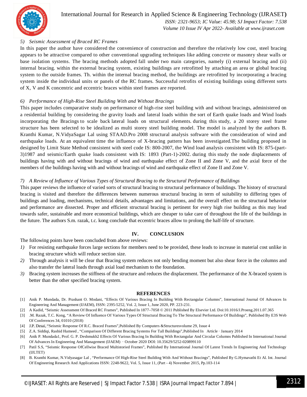

 *Volume 10 Issue IV Apr 2022- Available at www.ijraset.com*

#### *5) Seismic Assessment of Braced RC Frames*

In this paper the author have considered the convenience of construction and therefore the relatively low cost, steel bracing appears to be attractive compared to other conventional upgrading techniques like adding concrete or masonry shear walls or base isolation systems. The bracing methods adopted fall under two main categories, namely (i) external bracing and (ii) internal bracing. within the external bracing system, existing buildings are retrofitted by attaching an area or global bracing system to the outside frames. Th. within the internal bracing method, the buildings are retrofitted by incorporating a bracing system inside the individual units or panels of the RC frames. Successful retrofits of existing buildings using different sorts of X, V and K concentric and eccentric braces within steel frames are reported.

#### *6) Performance of High-Rise Steel Building With and Without Bracings*

This paper includes comparative study on performance of high-rise steel building with and without bracings, administered on a residential building by considering the gravity loads and lateral loads within the sort of Earth quake loads and Wind loads incorporating the Bracings to scale back lateral loads on structural elements. during this study, a 20 storey steel frame structure has been selected to be idealized as multi storey steel building model. The model is analyzed by the authors B. Kranthi Kumar, N.VidyaSagar Lal using STAAD.Pro 2008 structural analysis software with the consideration of wind and earthquake loads. At an equivalent time the influence of X-bracing pattern has been investigated.The building proposed in designed by Limit State Method consistent with steel code IS: 800-2007, the Wind load analysis consistent with IS: 875-(part-3)1987 and seismic/Earth quake loads consistent with IS: 1893 (Part-1)-2002. during this study the node displacements of buildings having with and without bracings of wind and earthquake effect of Zone II and Zone V, and the axial force of the members of the buildings having with and without bracings of wind and earthquake effect of Zone II and Zone V.

#### *7) A Review of Influence of Various Types of Structural Bracing to the Structural Performance of Buildings*

This paper reviews the influence of varied sorts of structural bracing to structural performance of buildings. The history of structural bracing is visited and therefore the differences between numerous structural bracing in term of suitability to differing types of buildings and loading, mechanisms, technical details, advantages and limitations, and the overall effect on the structural behavior and performance are dissected. Proper and efficient structural bracing is pertinent for every high rise building as this may lead towards safer, sustainable and more economical buildings, which are cheaper to take care of throughout the life of the buildings in the future. The authors S.m. razak, t.c. kong conclude that eccentric braces allow to prolong the half-life of structure.

#### **IV. CONCLUSION**

The following points have been concluded from above reviews:

- *1)* For resisting earthquake forces large sections for members need to be provided, these leads to increase in material cost unlike in bracing structure which will reduce section size.
- *2)* Through analysis it will be clear that Bracing system reduces not only bending moment but also shear force in the columns and also transfer the lateral loads through axial load mechanism to the foundation.
- *3)* Bracing system increases the stiffness of the structure and reduces the displacement. The performance of the X-braced system is better than the other specified bracing system.

#### **REFERENCES**

- [1] Anik P. Mundada, Dr. Prashant O. Modani, "Effects Of Various Bracing In Building With Rectangular Columns", International Journal Of Advances In Engineering And Management (IJAEM), ISSN: 2395-5252, Vol. 2, Issue 1, June 2020, PP. 223-231.
- [2] A Kadid, "Seismic Assessment Of Braced RC Frames", Published In 1877–7058 © 2011 Published By Elsevier Ltd. Doi:10.1016/J.Proeng.2011.07.365
- [3] .M. Razak, T.C. Kong, "A Review Of Influence Of Various Types Of Structural Bracing To The Structural Performance Of Buildings", Published By E3S Web Of Conferences 34, 01010 (2018)
- [4] J.P. Desai, "Seismic Response Of R.C. Braced Frames",Published By Computers &Structuresvolume 29, Issue 4
- [5] Z.A. Siddiqi, Rashid Hameed , "Comparison Of Different Bracing Systems For Tall Buildings",Published In Article · January 2014
- [6] Anik P. Mundada1, Prof. G. P. Deshmukh2 Effects Of Various Bracing In Building With Rectangular And Circular Columns Published In International Journal Of Advances In Engineering And Management (IJAEM) · October 2020 DOI: 10.35629/5252-020899110
- [7] Patil S.S, "Seismic Response OfCellwise Braced Multistoried Frames", Published By International Journal Of Latest Trends In Engineering And Technology (IJLTET)
- [8] B. Kranthi Kumar, N.Vidyasagar Lal , "Performance Of High-Rise Steel Building With And Without Bracings", Published By G.Hymavathi Et Al. Int. Journal Of Engineering Research And Applications ISSN: 2248-9622, Vol. 5, Issue 11, (Part - 4) November 2015, Pp.103-114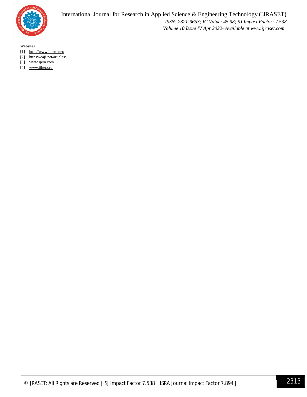

Websites

- [1] http://www.ijaem.net/
- [2] https://oaji.net/articles/
- [3] www.ijera.com
- [4] www.ijltet.org